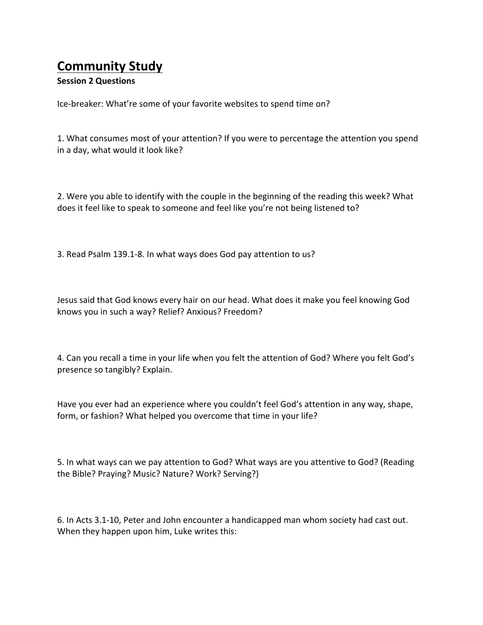## **Community Study**

## **Session 2 Questions**

Ice-breaker: What're some of your favorite websites to spend time on?

1. What consumes most of your attention? If you were to percentage the attention you spend in a day, what would it look like?

2. Were you able to identify with the couple in the beginning of the reading this week? What does it feel like to speak to someone and feel like you're not being listened to?

3. Read Psalm 139.1-8. In what ways does God pay attention to us?

Jesus said that God knows every hair on our head. What does it make you feel knowing God knows you in such a way? Relief? Anxious? Freedom?

4. Can you recall a time in your life when you felt the attention of God? Where you felt God's presence so tangibly? Explain.

Have you ever had an experience where you couldn't feel God's attention in any way, shape, form, or fashion? What helped you overcome that time in your life?

5. In what ways can we pay attention to God? What ways are you attentive to God? (Reading the Bible? Praying? Music? Nature? Work? Serving?)

6. In Acts 3.1-10, Peter and John encounter a handicapped man whom society had cast out. When they happen upon him, Luke writes this: